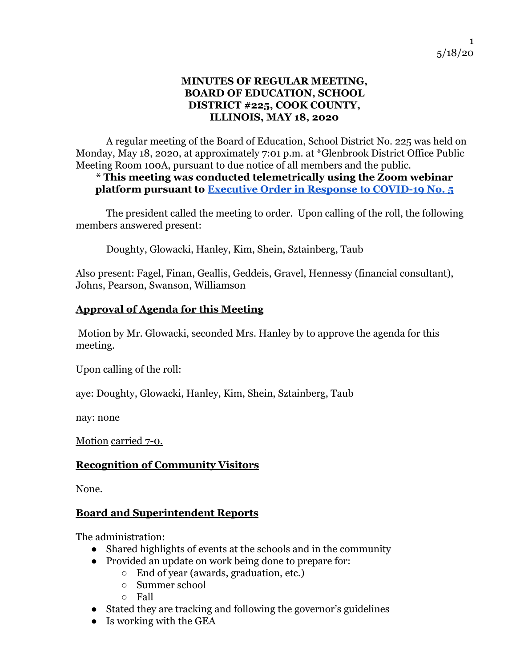#### **MINUTES OF REGULAR MEETING, BOARD OF EDUCATION, SCHOOL DISTRICT #225, COOK COUNTY, ILLINOIS, MAY 18, 2020**

A regular meeting of the Board of Education, School District No. 225 was held on Monday, May 18, 2020, at approximately 7:01 p.m. at \*Glenbrook District Office Public Meeting Room 100A, pursuant to due notice of all members and the public.

### **\* This meeting was conducted telemetrically using the Zoom webinar platform pursuant to [Executive Order in Response to COVID-19 No. 5](https://www2.illinois.gov/Documents/ExecOrders/2020/ExecutiveOrder-2020-07.pdf)**

The president called the meeting to order. Upon calling of the roll, the following members answered present:

Doughty, Glowacki, Hanley, Kim, Shein, Sztainberg, Taub

Also present: Fagel, Finan, Geallis, Geddeis, Gravel, Hennessy (financial consultant), Johns, Pearson, Swanson, Williamson

### **Approval of Agenda for this Meeting**

 Motion by Mr. Glowacki, seconded Mrs. Hanley by to approve the agenda for this meeting.

Upon calling of the roll:

aye: Doughty, Glowacki, Hanley, Kim, Shein, Sztainberg, Taub

nay: none

Motion carried 7-0.

### **Recognition of Community Visitors**

None.

### **Board and Superintendent Reports**

The administration:

- Shared highlights of events at the schools and in the community
- Provided an update on work being done to prepare for:
	- End of year (awards, graduation, etc.)
	- Summer school
	- Fall
- Stated they are tracking and following the governor's guidelines
- $\bullet$  Is working with the GEA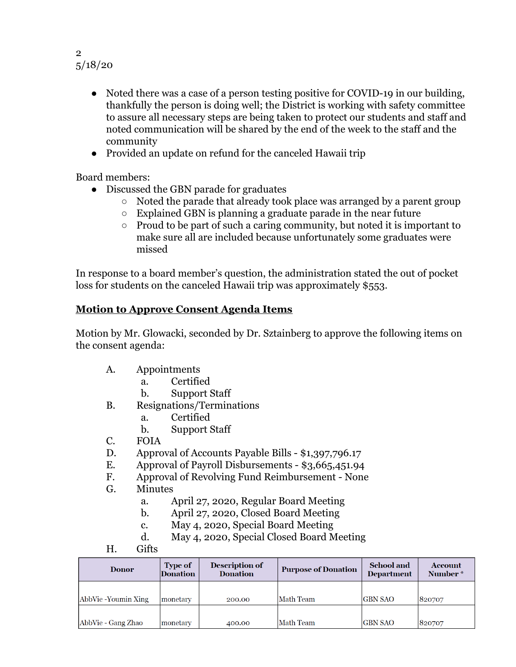#### 2 5/18/20

- Noted there was a case of a person testing positive for COVID-19 in our building, thankfully the person is doing well; the District is working with safety committee to assure all necessary steps are being taken to protect our students and staff and noted communication will be shared by the end of the week to the staff and the community
- Provided an update on refund for the canceled Hawaii trip

Board members:

- Discussed the GBN parade for graduates
	- Noted the parade that already took place was arranged by a parent group
	- Explained GBN is planning a graduate parade in the near future
	- Proud to be part of such a caring community, but noted it is important to make sure all are included because unfortunately some graduates were missed

In response to a board member's question, the administration stated the out of pocket loss for students on the canceled Hawaii trip was approximately \$553.

### **Motion to Approve Consent Agenda Items**

Motion by Mr. Glowacki, seconded by Dr. Sztainberg to approve the following items on the consent agenda:

- A. Appointments
	- a. Certified
	- b. Support Staff
- B. Resignations/Terminations
	- a. Certified
	- b. Support Staff
- C. FOIA
- D. Approval of Accounts Payable Bills \$1,397,796.17
- E. Approval of Payroll Disbursements \$3,665,451.94
- F. Approval of Revolving Fund Reimbursement None
- G. Minutes
	- a. April 27, 2020, Regular Board Meeting
	- b. April 27, 2020, Closed Board Meeting
	- c. May 4, 2020, Special Board Meeting
	- d. May 4, 2020, Special Closed Board Meeting
- H. Gifts

| <b>Donor</b>        | <b>Type of</b><br>Donation | <b>Description of</b><br><b>Donation</b> | <b>Purpose of Donation</b> | <b>School</b> and<br>Department | <b>Account</b><br>Number * |
|---------------------|----------------------------|------------------------------------------|----------------------------|---------------------------------|----------------------------|
| AbbVie -Youmin Xing | lmonetarv                  | 200.00                                   | Math Team                  | <b>GBN SAO</b>                  | 820707                     |
| AbbVie - Gang Zhao  | monetary                   | 400.00                                   | Math Team                  | GBN SAO                         | 820707                     |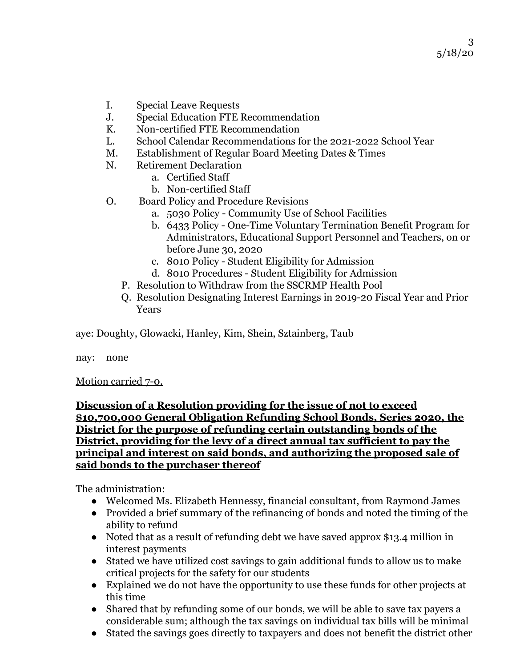- I. Special Leave Requests
- J. Special Education FTE Recommendation
- K. Non-certified FTE Recommendation
- L. School Calendar Recommendations for the 2021-2022 School Year
- M. Establishment of Regular Board Meeting Dates & Times
- N. Retirement Declaration
	- a. Certified Staff
	- b. Non-certified Staff
- O. Board Policy and Procedure Revisions
	- a. 5030 Policy Community Use of School Facilities
	- b. 6433 Policy One-Time Voluntary Termination Benefit Program for Administrators, Educational Support Personnel and Teachers, on or before June 30, 2020
	- c. 8010 Policy Student Eligibility for Admission
	- d. 8010 Procedures Student Eligibility for Admission
	- P. Resolution to Withdraw from the SSCRMP Health Pool
	- Q. Resolution Designating Interest Earnings in 2019-20 Fiscal Year and Prior Years

aye: Doughty, Glowacki, Hanley, Kim, Shein, Sztainberg, Taub

nay: none

Motion carried 7-0.

#### **Discussion of a Resolution providing for the issue of not to exceed \$10,700,000 General Obligation Refunding School Bonds, Series 2020, the District for the purpose of refunding certain outstanding bonds of the District, providing for the levy of a direct annual tax sufficient to pay the principal and interest on said bonds, and authorizing the proposed sale of said bonds to the purchaser thereof**

The administration:

- Welcomed Ms. Elizabeth Hennessy, financial consultant, from Raymond James
- Provided a brief summary of the refinancing of bonds and noted the timing of the ability to refund
- Noted that as a result of refunding debt we have saved approx \$13.4 million in interest payments
- Stated we have utilized cost savings to gain additional funds to allow us to make critical projects for the safety for our students
- Explained we do not have the opportunity to use these funds for other projects at this time
- Shared that by refunding some of our bonds, we will be able to save tax payers a considerable sum; although the tax savings on individual tax bills will be minimal
- Stated the savings goes directly to taxpayers and does not benefit the district other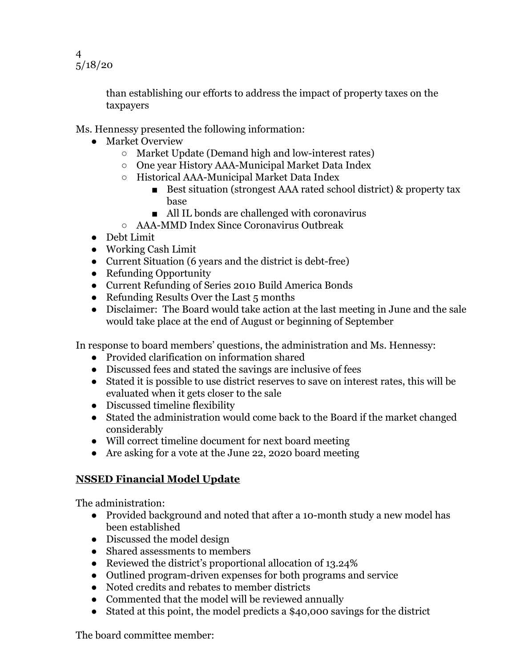4 5/18/20

> than establishing our efforts to address the impact of property taxes on the taxpayers

Ms. Hennessy presented the following information:

- Market Overview
	- Market Update (Demand high and low-interest rates)
	- One year History AAA-Municipal Market Data Index
	- Historical AAA-Municipal Market Data Index
		- Best situation (strongest AAA rated school district) & property tax base
		- All IL bonds are challenged with coronavirus
	- AAA-MMD Index Since Coronavirus Outbreak
- Debt Limit
- Working Cash Limit
- Current Situation (6 years and the district is debt-free)
- Refunding Opportunity
- Current Refunding of Series 2010 Build America Bonds
- Refunding Results Over the Last 5 months
- Disclaimer: The Board would take action at the last meeting in June and the sale would take place at the end of August or beginning of September

In response to board members' questions, the administration and Ms. Hennessy:

- Provided clarification on information shared
- Discussed fees and stated the savings are inclusive of fees
- Stated it is possible to use district reserves to save on interest rates, this will be evaluated when it gets closer to the sale
- Discussed timeline flexibility
- Stated the administration would come back to the Board if the market changed considerably
- Will correct timeline document for next board meeting
- Are asking for a vote at the June 22, 2020 board meeting

# **NSSED Financial Model Update**

The administration:

- Provided background and noted that after a 10-month study a new model has been established
- Discussed the model design
- Shared assessments to members
- Reviewed the district's proportional allocation of 13.24%
- Outlined program-driven expenses for both programs and service
- Noted credits and rebates to member districts
- Commented that the model will be reviewed annually
- Stated at this point, the model predicts a \$40,000 savings for the district

The board committee member: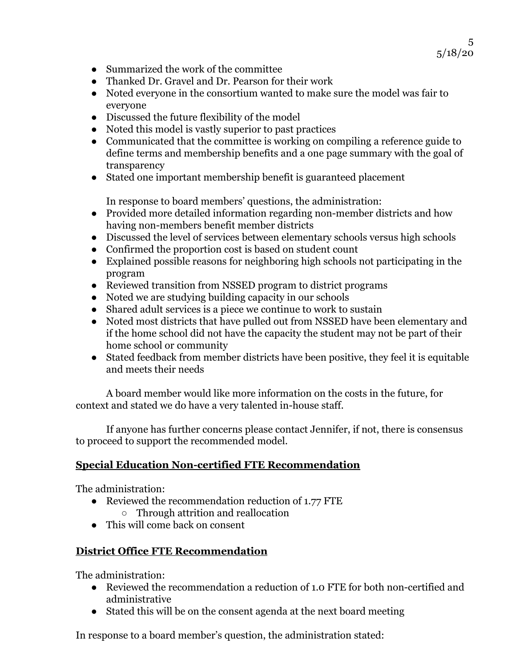- Summarized the work of the committee
- Thanked Dr. Gravel and Dr. Pearson for their work
- Noted everyone in the consortium wanted to make sure the model was fair to everyone
- Discussed the future flexibility of the model
- Noted this model is vastly superior to past practices
- Communicated that the committee is working on compiling a reference guide to define terms and membership benefits and a one page summary with the goal of transparency
- Stated one important membership benefit is guaranteed placement

In response to board members' questions, the administration:

- Provided more detailed information regarding non-member districts and how having non-members benefit member districts
- Discussed the level of services between elementary schools versus high schools
- Confirmed the proportion cost is based on student count
- Explained possible reasons for neighboring high schools not participating in the program
- Reviewed transition from NSSED program to district programs
- Noted we are studying building capacity in our schools
- Shared adult services is a piece we continue to work to sustain
- Noted most districts that have pulled out from NSSED have been elementary and if the home school did not have the capacity the student may not be part of their home school or community
- Stated feedback from member districts have been positive, they feel it is equitable and meets their needs

A board member would like more information on the costs in the future, for context and stated we do have a very talented in-house staff.

If anyone has further concerns please contact Jennifer, if not, there is consensus to proceed to support the recommended model.

# **Special Education Non-certified FTE Recommendation**

The administration:

- Reviewed the recommendation reduction of 1.77 FTE
	- Through attrition and reallocation
- This will come back on consent

# **District Office FTE Recommendation**

The administration:

- Reviewed the recommendation a reduction of 1.0 FTE for both non-certified and administrative
- Stated this will be on the consent agenda at the next board meeting

In response to a board member's question, the administration stated: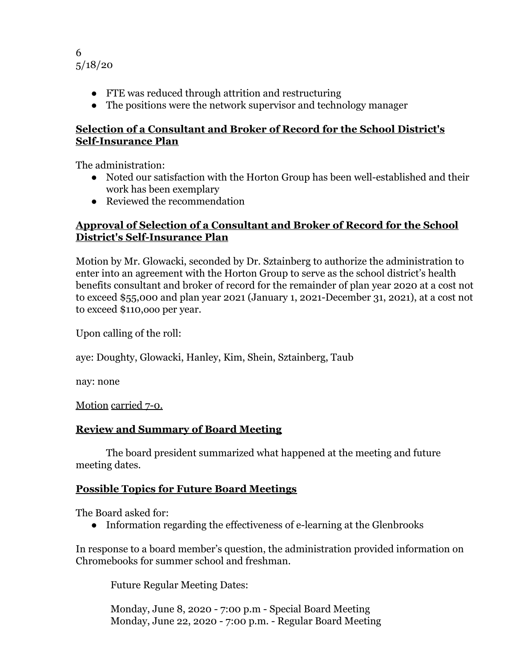

- FTE was reduced through attrition and restructuring
- The positions were the network supervisor and technology manager

### **Selection of a Consultant and Broker of Record for the School District's Self-Insurance Plan**

The administration:

- Noted our satisfaction with the Horton Group has been well-established and their work has been exemplary
- Reviewed the recommendation

### **Approval of Selection of a Consultant and Broker of Record for the School District's Self-Insurance Plan**

Motion by Mr. Glowacki, seconded by Dr. Sztainberg to authorize the administration to enter into an agreement with the Horton Group to serve as the school district's health benefits consultant and broker of record for the remainder of plan year 2020 at a cost not to exceed \$55,000 and plan year 2021 (January 1, 2021-December 31, 2021), at a cost not to exceed \$110,ooo per year.

Upon calling of the roll:

aye: Doughty, Glowacki, Hanley, Kim, Shein, Sztainberg, Taub

nay: none

Motion carried 7-0.

# **Review and Summary of Board Meeting**

The board president summarized what happened at the meeting and future meeting dates.

# **Possible Topics for Future Board Meetings**

The Board asked for:

● Information regarding the effectiveness of e-learning at the Glenbrooks

In response to a board member's question, the administration provided information on Chromebooks for summer school and freshman.

Future Regular Meeting Dates:

Monday, June 8, 2020 - 7:00 p.m - Special Board Meeting Monday, June 22, 2020 - 7:00 p.m. - Regular Board Meeting